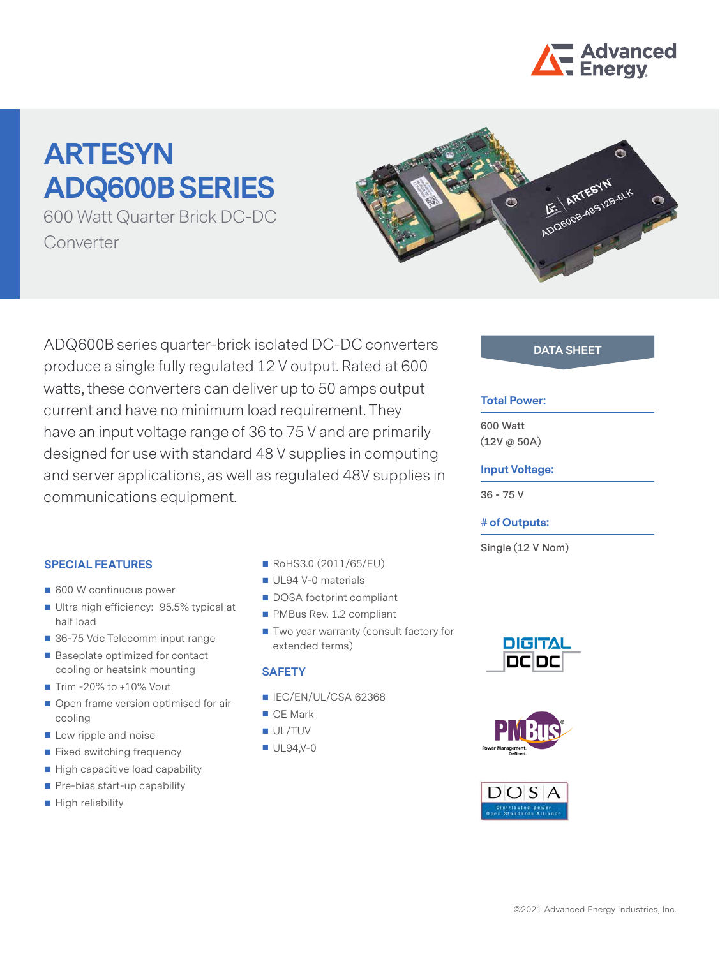

# **ARTESYN ADQ600B SERIES**

600 Watt Quarter Brick DC-DC Converter



ADQ600B series quarter-brick isolated DC-DC converters **DATA SHEET** produce a single fully regulated 12 V output. Rated at 600 watts, these converters can deliver up to 50 amps output current and have no minimum load requirement. They have an input voltage range of 36 to 75 V and are primarily designed for use with standard 48 V supplies in computing and server applications, as well as regulated 48V supplies in communications equipment.

# **SPECIAL FEATURES**

- 600 W continuous power
- Ultra high efficiency: 95.5% typical at half load
- 36-75 Vdc Telecomm input range
- Baseplate optimized for contact cooling or heatsink mounting
- $\blacksquare$  Trim -20% to +10% Vout
- Open frame version optimised for air cooling
- **Low ripple and noise**
- **Fixed switching frequency**
- High capacitive load capability
- $\blacksquare$  Pre-bias start-up capability
- High reliability
- RoHS3.0 (2011/65/EU)
- UL94 V-0 materials
- DOSA footprint compliant
- PMBus Rev. 1.2 compliant
- Two year warranty (consult factory for extended terms)

## **SAFETY**

- $\blacksquare$  IEC/EN/UL/CSA 62368
- CE Mark
- UL/TUV
- $UL94.V-0$

### **Total Power:**

**600 Watt (12V @ 50A)**

### **Input Voltage:**

**36 - 75 V**

### **# of Outputs:**

**Single (12 V Nom)**





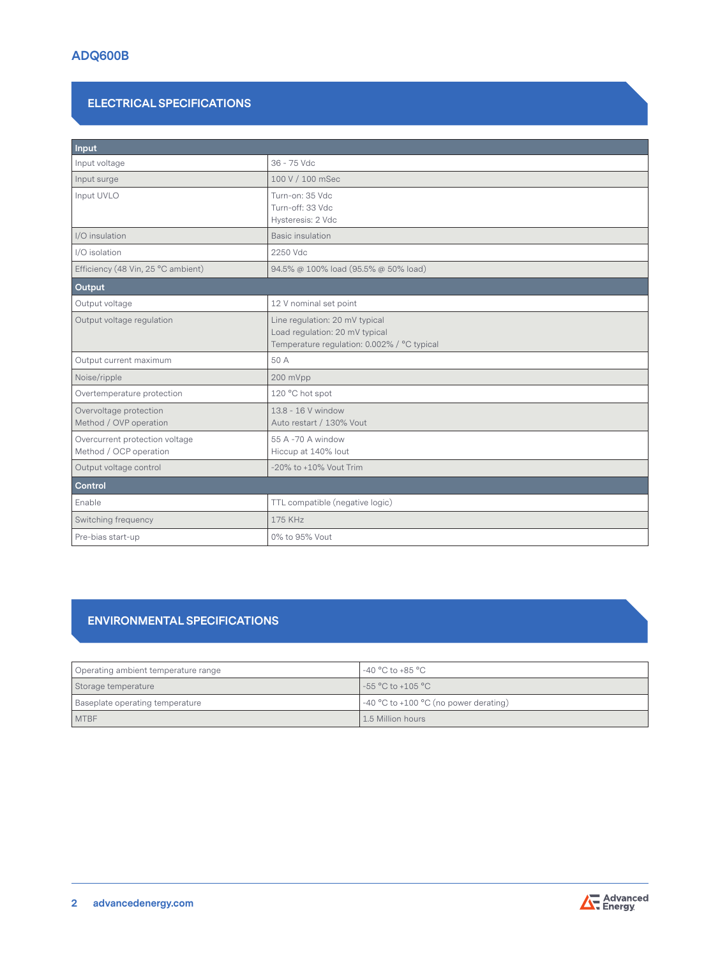# **ELECTRICAL SPECIFICATIONS**

| Input                                                    |                                                                                                                 |  |  |
|----------------------------------------------------------|-----------------------------------------------------------------------------------------------------------------|--|--|
| Input voltage                                            | 36 - 75 Vdc                                                                                                     |  |  |
| Input surge                                              | 100 V / 100 mSec                                                                                                |  |  |
| Input UVLO                                               | Turn-on: 35 Vdc<br>Turn-off: 33 Vdc<br>Hysteresis: 2 Vdc                                                        |  |  |
| I/O insulation                                           | <b>Basic insulation</b>                                                                                         |  |  |
| I/O isolation                                            | 2250 Vdc                                                                                                        |  |  |
| Efficiency (48 Vin, 25 °C ambient)                       | 94.5% @ 100% load (95.5% @ 50% load)                                                                            |  |  |
| Output                                                   |                                                                                                                 |  |  |
| Output voltage                                           | 12 V nominal set point                                                                                          |  |  |
| Output voltage regulation                                | Line regulation: 20 mV typical<br>Load regulation: 20 mV typical<br>Temperature regulation: 0.002% / °C typical |  |  |
| Output current maximum                                   | 50 A                                                                                                            |  |  |
| Noise/ripple                                             | 200 mVpp                                                                                                        |  |  |
| Overtemperature protection                               | 120 °C hot spot                                                                                                 |  |  |
| Overvoltage protection<br>Method / OVP operation         | 13.8 - 16 V window<br>Auto restart / 130% Vout                                                                  |  |  |
| Overcurrent protection voltage<br>Method / OCP operation | 55 A -70 A window<br>Hiccup at 140% lout                                                                        |  |  |
| Output voltage control                                   | -20% to +10% Vout Trim                                                                                          |  |  |
| Control                                                  |                                                                                                                 |  |  |
| Enable                                                   | TTL compatible (negative logic)                                                                                 |  |  |
| Switching frequency                                      | 175 KHz                                                                                                         |  |  |
| Pre-bias start-up                                        | 0% to 95% Vout                                                                                                  |  |  |

# **ENVIRONMENTAL SPECIFICATIONS**

| Operating ambient temperature range | l -40 °C to +85 °C .                                |  |
|-------------------------------------|-----------------------------------------------------|--|
| Storage temperature                 | l -55 °C to +105 °C                                 |  |
| Baseplate operating temperature     | $\frac{1}{2}$ -40 °C to +100 °C (no power derating) |  |
| <b>MTBF</b>                         | 1.5 Million hours                                   |  |

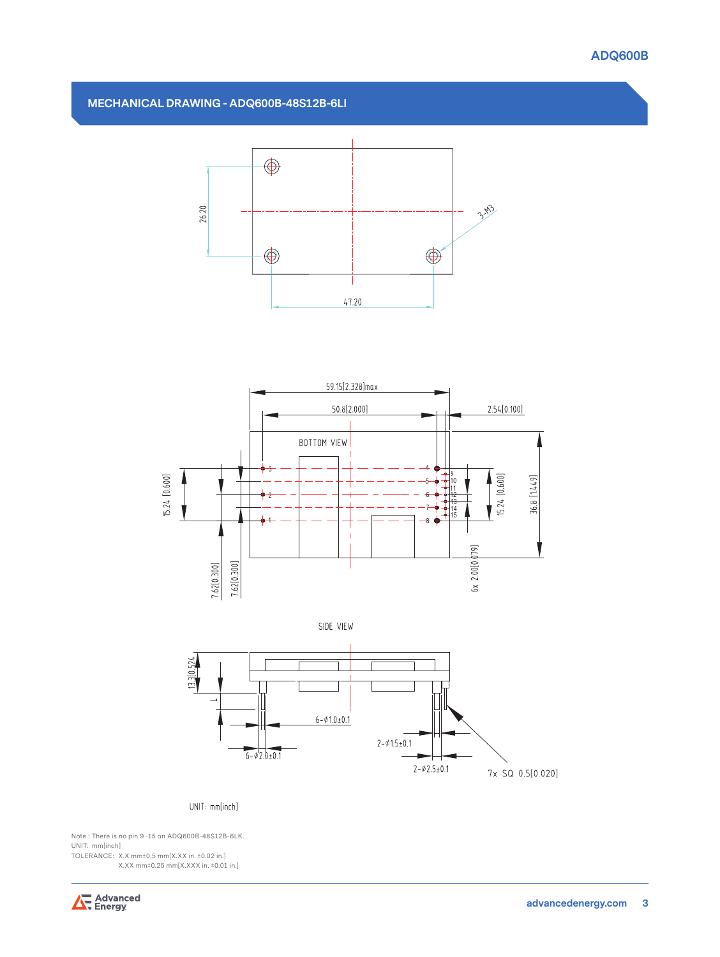

# **MECHANICAL DRAWING - ADQ600B-48S12B-6LI**







#### UNIT: mm[inch]

Note : There is no pin 9 -15 on ADQ600B-48S12B-6LK. UNIT: mm[inch]

TOLERANCE: X.X mm±0.5 mm[X.XX in. ±0.02 in.] X.XX mm±0.25 mm[X.XXX in. ±0.01 in.]

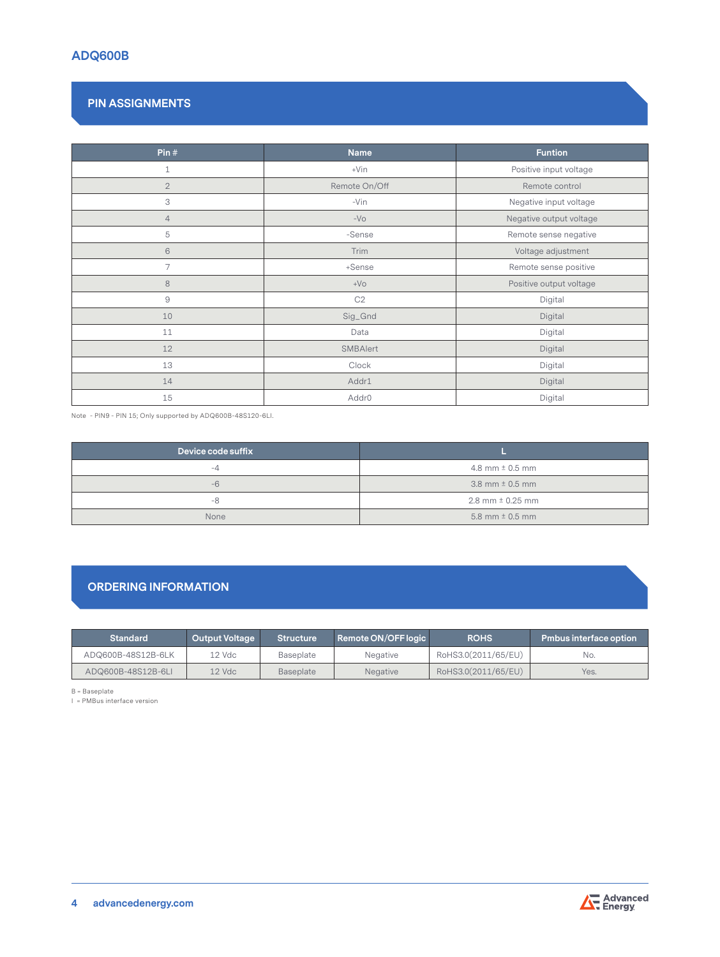# **ADQ600B**

# **PIN ASSIGNMENTS**

| Pin $#$        | <b>Name</b>                       | <b>Funtion</b>          |  |
|----------------|-----------------------------------|-------------------------|--|
| $\mathbf 1$    | Positive input voltage<br>$+V$ in |                         |  |
| $\overline{2}$ | Remote On/Off<br>Remote control   |                         |  |
| 3              | -Vin<br>Negative input voltage    |                         |  |
| $\overline{4}$ | $-VO$                             | Negative output voltage |  |
| 5              | -Sense                            | Remote sense negative   |  |
| $\sqrt{6}$     | Trim                              | Voltage adjustment      |  |
| $\overline{7}$ | +Sense                            | Remote sense positive   |  |
| $\,8\,$        | $+VO$                             | Positive output voltage |  |
| $\Theta$       | C2                                | Digital                 |  |
| 10             | Sig_Gnd                           | Digital                 |  |
| 11             | Digital<br>Data                   |                         |  |
| 12             | SMBAlert                          | Digital                 |  |
| 13             | Digital<br>Clock                  |                         |  |
| 14             | Addr1                             | Digital                 |  |
| 15             | Addr <sub>0</sub>                 | Digital                 |  |

Note - PIN9 - PIN 15; Only supported by ADQ600B-48S120-6LI.

| Device code suffix |                        |  |  |
|--------------------|------------------------|--|--|
| -4                 | 4.8 mm $\pm$ 0.5 mm    |  |  |
| $-6$               | 3.8 mm $\pm$ 0.5 mm    |  |  |
| -8                 | $2.8$ mm $\pm$ 0.25 mm |  |  |
| None               | 5.8 mm $\pm$ 0.5 mm    |  |  |

# **ORDERING INFORMATION**

| Standard           | <b>Output Voltage</b> | <b>Structure</b> | Remote ON/OFF logic | <b>ROHS</b>         | <b>Pmbus interface option</b> |
|--------------------|-----------------------|------------------|---------------------|---------------------|-------------------------------|
| ADQ600B-48S12B-6LK | 12 Vdc                | Baseplate        | Negative            | RoHS3.0(2011/65/EU) | No.                           |
| ADQ600B-48S12B-6LI | $12$ Vdc              | <b>Baseplate</b> | <b>Negative</b>     | RoHS3.0(2011/65/EU) | Yes.                          |

B = Baseplate

I = PMBus interface version